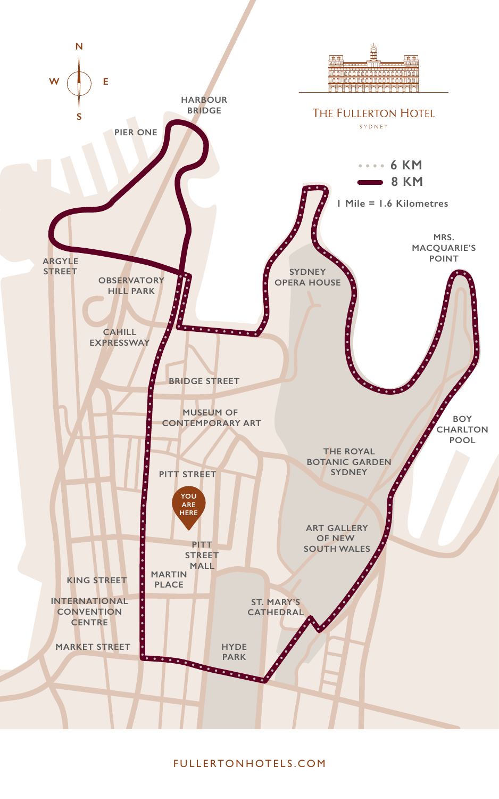